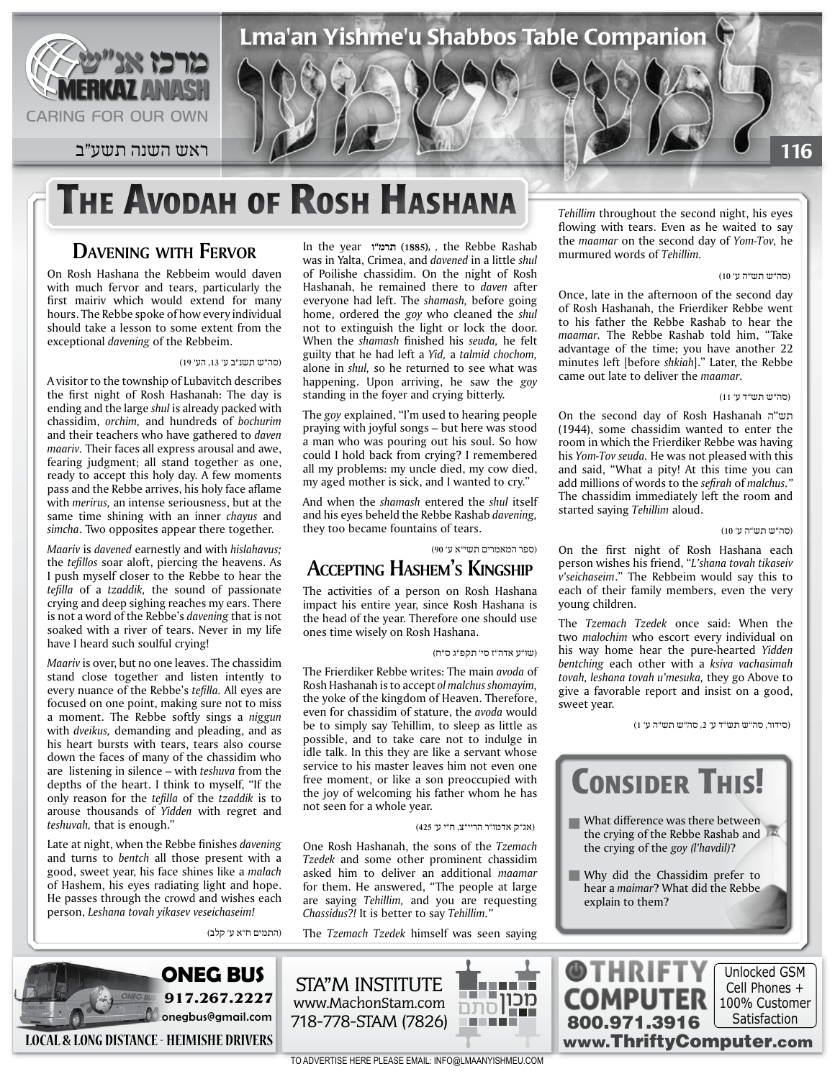

# **THE AVODAH OF ROSH HASHANA**

## **DAVENING WITH FERVOR**

On Rosh Hashana the Rebbeim would daven with much fervor and tears, particularly the first mairiv which would extend for many hours. The Rebbe spoke of how every individual should take a lesson to some extent from the exceptional *davening* of the Rebbeim.

### )סה"ש תשנ"ב ע' ,13 הע' 19(

A visitor to the township of Lubavitch describes the first night of Rosh Hashanah: The day is ending and the large *shul* is already packed with chassidim, *orchim*, and *hundreds* of *bochurim* and their teachers who have gathered to daven maariv. Their faces all express arousal and awe, fearing judgment; all stand together as one, ready to accept this holy day. A few moments pass and the Rebbe arrives, his holy face aflame with *merirus*, an intense seriousness, but at the same time shining with an inner chayus and simcha. Two opposites appear there together.

*Maariv* is *davened* earnestly and with *hislahavus*; the tefillos soar aloft, piercing the heavens. As I push myself closer to the Rebbe to hear the tefilla of a *tzaddik*, the sound of passionate crying and deep sighing reaches my ears. There is not a word of the Rebbe's *davening* that is not soaked with a river of tears. Never in my life have I heard such soulful crying!

*Maariv* is over, but no one leaves. The chassidim stand close together and listen intently to every nuance of the Rebbe's *tefilla*. All eyes are focused on one point, making sure not to miss a moment. The Rebbe softly sings a *niggun* with *dveikus*, demanding and pleading, and as his heart bursts with tears, tears also course down the faces of many of the chassidim who are listening in silence – with *teshuva* from the depths of the heart. I think to myself, "If the only reason for the *tefilla* of the *tzaddik* is to arouse thousands of *Yidden* with regret and teshuvah, that is enough."

Late at night, when the Rebbe finishes *davening* and turns to *bentch* all those present with a good, sweet year, his face shines like a *malach* of Hashem, his eyes radiating light and hope. He passes through the crowd and wishes each person, Leshana tovah yikasev veseichaseim!

In the year (1885), , the Rebbe Rashab was in Yalta, Crimea, and *davened* in a little shul of Poilishe chassidim. On the night of Rosh Hashanah, he remained there to *daven* after everyone had left. The shamash, before going home, ordered the goy who cleaned the shul not to extinguish the light or lock the door. When the *shamash* finished his *seuda*, he felt guilty that he had left a *Yid*, a *talmid chochom*, alone in *shul*, so he returned to see what was happening. Upon arriving, he saw the goy standing in the foyer and crying bitterly.

The goy explained, "I'm used to hearing people praying with joyful songs – but here was stood a man who was pouring out his soul. So how could I hold back from crying? I remembered all my problems: my uncle died, my cow died, my aged mother is sick, and I wanted to cry."

And when the shamash entered the shul itself and his eyes beheld the Rebbe Rashab *davening*, they too became fountains of tears.

)ספר המאמרים תשי"א ע' 90(

### **Kingship s'Hashem Accepting**

The activities of a person on Rosh Hashana impact his entire year, since Rosh Hashana is the head of the year. Therefore one should use ones time wisely on Rosh Hashana.

)שו"ע אדה"ז סי' תקפ"ג ס"ח(

The Frierdiker Rebbe writes: The main avoda of Rosh Hashanah is to accept ol malchus shomayim, the yoke of the kingdom of Heaven. Therefore, even for chassidim of stature, the *avoda* would be to simply say Tehillim, to sleep as little as possible, and to take care not to indulge in idle talk. In this they are like a servant whose service to his master leaves him not even one free moment, or like a son preoccupied with the joy of welcoming his father whom he has not seen for a whole year.

)אג"ק אדמו"ר הריי"צ, ח"י ע' 425(

1 H H H H

וסתם

מכוו

**One Rosh Hashanah, the sons of the Tzemach** Tzedek and some other prominent chassidim asked him to deliver an additional *maamar* for them. He answered, "The people at large are saying Tehillim, and you are requesting *Chassidus?!* It is better to say Tehillim."

The *Tzemach Tzedek* himself was seen saying

**STA"M INSTITUTE** www.MachonStam.com 718-778-STAM (7826)



#### )סה"ש תש"ה ע' 10(

Once, late in the afternoon of the second day of Rosh Hashanah, the Frierdiker Rebbe went to his father the Rebbe Rashab to hear the maamar. The Rebbe Rashab told him, "Take advantage of the time; you have another 22 minutes left (before shkiah)." Later, the Rebbe came out late to deliver the *maamar*.

### )סה"ש תש"ד ע' 11(

תש"ה On the second day of Rosh Hashanah  $(1944)$ , some chassidim wanted to enter the room in which the Frierdiker Rebbe was having his Yom-Tov seuda. He was not pleased with this and said, "What a pity! At this time you can add millions of words to the *sefirah* of *malchus*." The chassidim immediately left the room and started saying Tehillim aloud.

#### )סה"ש תש"ה ע' 10(

On the first night of Rosh Hashana each person wishes his friend, "L'shana tovah tikaseiv v'seichaseim." The Rebbeim would say this to each of their family members, even the very young children.

The Tzemach Tzedek once said: When the two *malochim* who escort every individual on his way home hear the pure-hearted Yidden *bentching* each other with a ksiva vachasimah tovah, leshana tovah u'mesuka, they go Above to give a favorable report and insist on a good, sweet year.

)סידור, סה"ש תש"ד ע' ,2 סה"ש תש"ה ע' 1(



hear a *maimar*? What did the Rebbe explain to them?



)התמים ח"א ע' קלב(



**LOCAL & LONG DISTANCE - HEIMISHE DRIVERS**